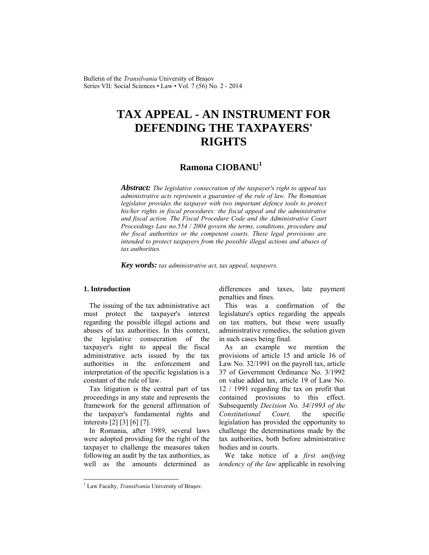Bulletin of the *Transilvania* University of Braşov Series VII: Social Sciences • Law • Vol. 7 (56) No. 2 - 2014

# **TAX APPEAL - AN INSTRUMENT FOR DEFENDING THE TAXPAYERS' RIGHTS**

## **Ramona CIOBANU<sup>1</sup>**

*Abstract: The legislative consecration of the taxpayer's right to appeal tax administrative acts represents a guarantee of the rule of law. The Romanian legislator provides the taxpayer with two important defence tools to protect his/her rights in fiscal procedures: the fiscal appeal and the administrative and fiscal action. The Fiscal Procedure Code and the Administrative Court Proceedings Law no.554 / 2004 govern the terms, conditions, procedure and the fiscal authorities or the competent courts. These legal provisions are intended to protect taxpayers from the possible illegal actions and abuses of tax authorities.* 

*Key words: tax administrative act, tax appeal, taxpayers.*

## **1. Introduction**

 $\overline{\phantom{a}}$ 

The issuing of the tax administrative act must protect the taxpayer's interest regarding the possible illegal actions and abuses of tax authorities. In this context, the legislative consecration of the taxpayer's right to appeal the fiscal administrative acts issued by the tax authorities in the enforcement and interpretation of the specific legislation is a constant of the rule of law.

Tax litigation is the central part of tax proceedings in any state and represents the framework for the general affirmation of the taxpayer's fundamental rights and interests [2] [3] [6] [7].

In Romania, after 1989, several laws were adopted providing for the right of the taxpayer to challenge the measures taken following an audit by the tax authorities, as well as the amounts determined as differences and taxes, late payment penalties and fines.

This was a confirmation of the legislature's optics regarding the appeals on tax matters, but these were usually administrative remedies, the solution given in such cases being final.

As an example we mention the provisions of article 15 and article 16 of Law No. 32/1991 on the payroll tax, article 37 of Government Ordinance No. 3/1992 on value added tax, article 19 of Law No. 12 / 1991 regarding the tax on profit that contained provisions to this effect. Subsequently *Decision No. 34/1993 of the Constitutional Court,* the specific legislation has provided the opportunity to challenge the determinations made by the tax authorities, both before administrative bodies and in courts.

We take notice of a *first unifying tendency of the law* applicable in resolving

<sup>&</sup>lt;sup>1</sup> Law Faculty, *Transilvania* University of Brașov.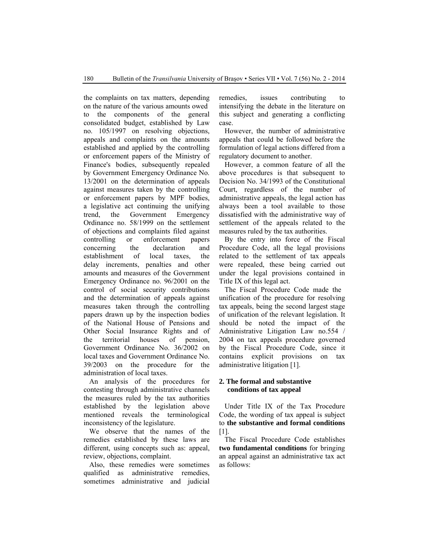the complaints on tax matters, depending on the nature of the various amounts owed to the components of the general consolidated budget, established by Law no. 105/1997 on resolving objections, appeals and complaints on the amounts established and applied by the controlling or enforcement papers of the Ministry of Finance's bodies, subsequently repealed by Government Emergency Ordinance No. 13/2001 on the determination of appeals against measures taken by the controlling or enforcement papers by MPF bodies, a legislative act continuing the unifying trend, the Government Emergency Ordinance no. 58/1999 on the settlement of objections and complaints filed against controlling or enforcement papers concerning the declaration and establishment of local taxes, the delay increments, penalties and other amounts and measures of the Government Emergency Ordinance no. 96/2001 on the control of social security contributions and the determination of appeals against measures taken through the controlling papers drawn up by the inspection bodies of the National House of Pensions and Other Social Insurance Rights and of the territorial houses of pension, Government Ordinance No. 36/2002 on local taxes and Government Ordinance No. 39/2003 on the procedure for the administration of local taxes.

An analysis of the procedures for contesting through administrative channels the measures ruled by the tax authorities established by the legislation above mentioned reveals the terminological inconsistency of the legislature.

We observe that the names of the remedies established by these laws are different, using concepts such as: appeal, review, objections, complaint.

Also, these remedies were sometimes qualified as administrative remedies, sometimes administrative and judicial remedies, issues contributing to intensifying the debate in the literature on this subject and generating a conflicting case.

However, the number of administrative appeals that could be followed before the formulation of legal actions differed from a regulatory document to another.

However, a common feature of all the above procedures is that subsequent to Decision No. 34/1993 of the Constitutional Court, regardless of the number of administrative appeals, the legal action has always been a tool available to those dissatisfied with the administrative way of settlement of the appeals related to the measures ruled by the tax authorities.

By the entry into force of the Fiscal Procedure Code, all the legal provisions related to the settlement of tax appeals were repealed, these being carried out under the legal provisions contained in Title IX of this legal act.

The Fiscal Procedure Code made the unification of the procedure for resolving tax appeals, being the second largest stage of unification of the relevant legislation. It should be noted the impact of the Administrative Litigation Law no.554 / 2004 on tax appeals procedure governed by the Fiscal Procedure Code, since it contains explicit provisions on tax administrative litigation [1].

## **2. The formal and substantive conditions of tax appeal**

Under Title IX of the Tax Procedure Code, the wording of tax appeal is subject to **the substantive and formal conditions** [1].

The Fiscal Procedure Code establishes **two fundamental conditions** for bringing an appeal against an administrative tax act as follows: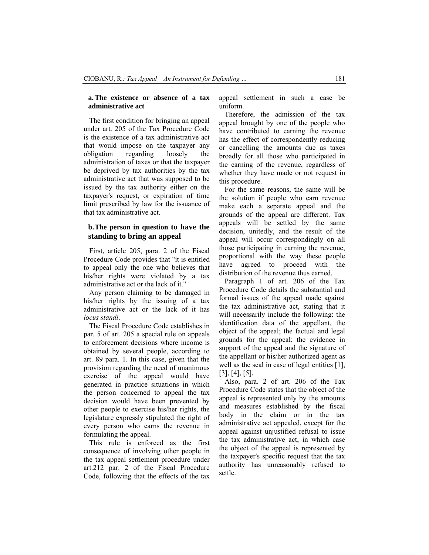#### **a.The existence or absence of a tax administrative act**

The first condition for bringing an appeal under art. 205 of the Tax Procedure Code is the existence of a tax administrative act that would impose on the taxpayer any obligation regarding loosely the administration of taxes or that the taxpayer be deprived by tax authorities by the tax administrative act that was supposed to be issued by the tax authority either on the taxpayer's request, or expiration of time limit prescribed by law for the issuance of that tax administrative act.

## **b.The person in question to have the standing to bring an appeal**

First, article 205, para. 2 of the Fiscal Procedure Code provides that "it is entitled to appeal only the one who believes that his/her rights were violated by a tax administrative act or the lack of it."

Any person claiming to be damaged in his/her rights by the issuing of a tax administrative act or the lack of it has *locus standi*.

The Fiscal Procedure Code establishes in par. 5 of art. 205 a special rule on appeals to enforcement decisions where income is obtained by several people, according to art. 89 para. 1. In this case, given that the provision regarding the need of unanimous exercise of the appeal would have generated in practice situations in which the person concerned to appeal the tax decision would have been prevented by other people to exercise his/her rights, the legislature expressly stipulated the right of every person who earns the revenue in formulating the appeal.

This rule is enforced as the first consequence of involving other people in the tax appeal settlement procedure under art.212 par. 2 of the Fiscal Procedure Code, following that the effects of the tax appeal settlement in such a case be uniform.

Therefore, the admission of the tax appeal brought by one of the people who have contributed to earning the revenue has the effect of correspondently reducing or cancelling the amounts due as taxes broadly for all those who participated in the earning of the revenue, regardless of whether they have made or not request in this procedure.

For the same reasons, the same will be the solution if people who earn revenue make each a separate appeal and the grounds of the appeal are different. Tax appeals will be settled by the same decision, unitedly, and the result of the appeal will occur correspondingly on all those participating in earning the revenue, proportional with the way these people have agreed to proceed with the distribution of the revenue thus earned.

Paragraph 1 of art. 206 of the Tax Procedure Code details the substantial and formal issues of the appeal made against the tax administrative act, stating that it will necessarily include the following: the identification data of the appellant, the object of the appeal; the factual and legal grounds for the appeal; the evidence in support of the appeal and the signature of the appellant or his/her authorized agent as well as the seal in case of legal entities [1], [3], [4], [5].

Also, para. 2 of art. 206 of the Tax Procedure Code states that the object of the appeal is represented only by the amounts and measures established by the fiscal body in the claim or in the tax administrative act appealed, except for the appeal against unjustified refusal to issue the tax administrative act, in which case the object of the appeal is represented by the taxpayer's specific request that the tax authority has unreasonably refused to settle.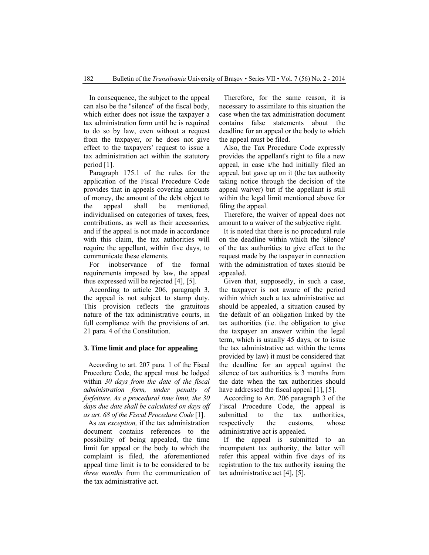In consequence, the subject to the appeal can also be the "silence" of the fiscal body, which either does not issue the taxpayer a tax administration form until he is required to do so by law, even without a request from the taxpayer, or he does not give effect to the taxpayers' request to issue a tax administration act within the statutory period [1].

Paragraph 175.1 of the rules for the application of the Fiscal Procedure Code provides that in appeals covering amounts of money, the amount of the debt object to the appeal shall be mentioned, individualised on categories of taxes, fees, contributions, as well as their accessories, and if the appeal is not made in accordance with this claim, the tax authorities will require the appellant, within five days, to communicate these elements.

For inobservance of the formal requirements imposed by law, the appeal thus expressed will be rejected [4], [5].

According to article 206, paragraph 3, the appeal is not subject to stamp duty. This provision reflects the gratuitous nature of the tax administrative courts, in full compliance with the provisions of art. 21 para. 4 of the Constitution.

#### **3. Time limit and place for appealing**

According to art. 207 para. 1 of the Fiscal Procedure Code, the appeal must be lodged within *30 days from the date of the fiscal administration form, under penalty of forfeiture. As a procedural time limit, the 30 days due date shall be calculated on days off as art. 68 of the Fiscal Procedure Code* [1].

As *an exception,* if the tax administration document contains references to the possibility of being appealed, the time limit for appeal or the body to which the complaint is filed, the aforementioned appeal time limit is to be considered to be *three months* from the communication of the tax administrative act.

Therefore, for the same reason, it is necessary to assimilate to this situation the case when the tax administration document contains false statements about the deadline for an appeal or the body to which the appeal must be filed.

Also, the Tax Procedure Code expressly provides the appellant's right to file a new appeal, in case s/he had initially filed an appeal, but gave up on it (the tax authority taking notice through the decision of the appeal waiver) but if the appellant is still within the legal limit mentioned above for filing the appeal.

Therefore, the waiver of appeal does not amount to a waiver of the subjective right.

It is noted that there is no procedural rule on the deadline within which the 'silence' of the tax authorities to give effect to the request made by the taxpayer in connection with the administration of taxes should be appealed.

Given that, supposedly, in such a case, the taxpayer is not aware of the period within which such a tax administrative act should be appealed, a situation caused by the default of an obligation linked by the tax authorities (i.e. the obligation to give the taxpayer an answer within the legal term, which is usually 45 days, or to issue the tax administrative act within the terms provided by law) it must be considered that the deadline for an appeal against the silence of tax authorities is 3 months from the date when the tax authorities should have addressed the fiscal appeal [1], [5].

According to Art. 206 paragraph 3 of the Fiscal Procedure Code, the appeal is submitted to the tax authorities, respectively the customs, whose administrative act is appealed.

If the appeal is submitted to an incompetent tax authority, the latter will refer this appeal within five days of its registration to the tax authority issuing the tax administrative act [4], [5].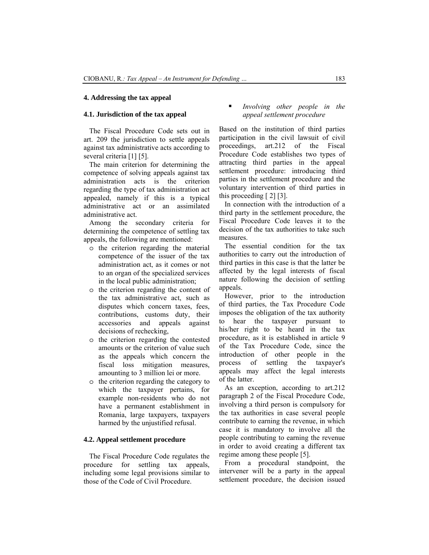#### **4. Addressing the tax appeal**

#### **4.1. Jurisdiction of the tax appeal**

The Fiscal Procedure Code sets out in art. 209 the jurisdiction to settle appeals against tax administrative acts according to several criteria [1] [5].

The main criterion for determining the competence of solving appeals against tax administration acts is the criterion regarding the type of tax administration act appealed, namely if this is a typical administrative act or an assimilated administrative act.

Among the secondary criteria for determining the competence of settling tax appeals, the following are mentioned:

- o the criterion regarding the material competence of the issuer of the tax administration act, as it comes or not to an organ of the specialized services in the local public administration;
- o the criterion regarding the content of the tax administrative act, such as disputes which concern taxes, fees, contributions, customs duty, their accessories and appeals against decisions of rechecking,
- o the criterion regarding the contested amounts or the criterion of value such as the appeals which concern the fiscal loss mitigation measures, amounting to 3 million lei or more.
- o the criterion regarding the category to which the taxpayer pertains, for example non-residents who do not have a permanent establishment in Romania, large taxpayers, taxpayers harmed by the unjustified refusal.

#### **4.2. Appeal settlement procedure**

The Fiscal Procedure Code regulates the procedure for settling tax appeals, including some legal provisions similar to those of the Code of Civil Procedure.

## *Involving other people in the appeal settlement procedure*

Based on the institution of third parties participation in the civil lawsuit of civil proceedings, art.212 of the Fiscal Procedure Code establishes two types of attracting third parties in the appeal settlement procedure: introducing third parties in the settlement procedure and the voluntary intervention of third parties in this proceeding [ 2] [3].

In connection with the introduction of a third party in the settlement procedure, the Fiscal Procedure Code leaves it to the decision of the tax authorities to take such measures.

The essential condition for the tax authorities to carry out the introduction of third parties in this case is that the latter be affected by the legal interests of fiscal nature following the decision of settling appeals.

However, prior to the introduction of third parties, the Tax Procedure Code imposes the obligation of the tax authority to hear the taxpayer pursuant to his/her right to be heard in the tax procedure, as it is established in article 9 of the Tax Procedure Code, since the introduction of other people in the process of settling the taxpayer's appeals may affect the legal interests of the latter.

As an exception, according to art.212 paragraph 2 of the Fiscal Procedure Code, involving a third person is compulsory for the tax authorities in case several people contribute to earning the revenue, in which case it is mandatory to involve all the people contributing to earning the revenue in order to avoid creating a different tax regime among these people [5].

From a procedural standpoint, the intervener will be a party in the appeal settlement procedure, the decision issued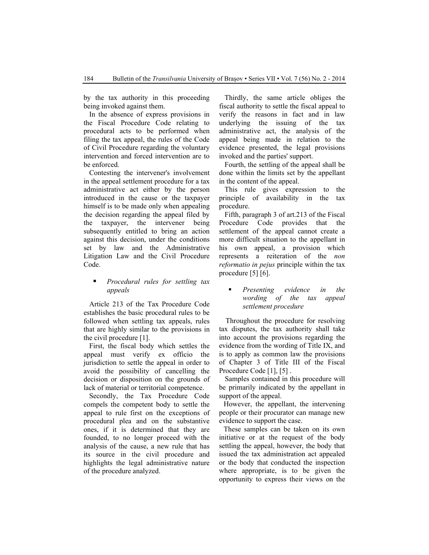by the tax authority in this proceeding being invoked against them.

In the absence of express provisions in the Fiscal Procedure Code relating to procedural acts to be performed when filing the tax appeal, the rules of the Code of Civil Procedure regarding the voluntary intervention and forced intervention are to be enforced.

Contesting the intervener's involvement in the appeal settlement procedure for a tax administrative act either by the person introduced in the cause or the taxpayer himself is to be made only when appealing the decision regarding the appeal filed by the taxpayer, the intervener being subsequently entitled to bring an action against this decision, under the conditions set by law and the Administrative Litigation Law and the Civil Procedure Code.

## *Procedural rules for settling tax appeals*

Article 213 of the Tax Procedure Code establishes the basic procedural rules to be followed when settling tax appeals, rules that are highly similar to the provisions in the civil procedure [1].

First, the fiscal body which settles the appeal must verify ex officio the jurisdiction to settle the appeal in order to avoid the possibility of cancelling the decision or disposition on the grounds of lack of material or territorial competence.

Secondly, the Tax Procedure Code compels the competent body to settle the appeal to rule first on the exceptions of procedural plea and on the substantive ones, if it is determined that they are founded, to no longer proceed with the analysis of the cause, a new rule that has its source in the civil procedure and highlights the legal administrative nature of the procedure analyzed.

Thirdly, the same article obliges the fiscal authority to settle the fiscal appeal to verify the reasons in fact and in law underlying the issuing of the tax administrative act, the analysis of the appeal being made in relation to the evidence presented, the legal provisions invoked and the parties' support.

Fourth, the settling of the appeal shall be done within the limits set by the appellant in the content of the appeal.

This rule gives expression to the principle of availability in the tax procedure.

Fifth, paragraph 3 of art.213 of the Fiscal Procedure Code provides that the settlement of the appeal cannot create a more difficult situation to the appellant in his own appeal, a provision which represents a reiteration of the *non reformatio in pejus* principle within the tax procedure [5] [6].

#### *Presenting evidence in the wording of the tax appeal settlement procedure*

 Throughout the procedure for resolving tax disputes, the tax authority shall take into account the provisions regarding the evidence from the wording of Title IX, and is to apply as common law the provisions of Chapter 3 of Title III of the Fiscal Procedure Code [1], [5].

 Samples contained in this procedure will be primarily indicated by the appellant in support of the appeal.

However, the appellant, the intervening people or their procurator can manage new evidence to support the case.

These samples can be taken on its own initiative or at the request of the body settling the appeal, however, the body that issued the tax administration act appealed or the body that conducted the inspection where appropriate, is to be given the opportunity to express their views on the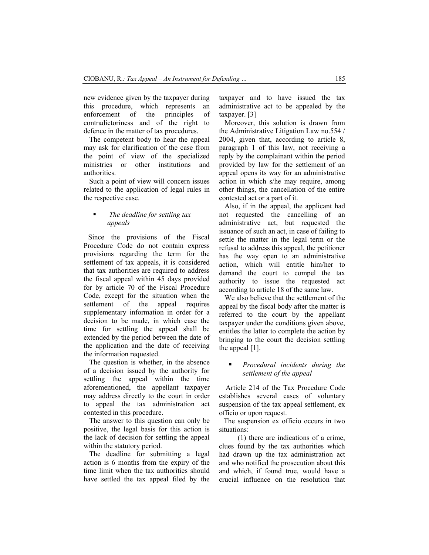new evidence given by the taxpayer during this procedure, which represents an enforcement of the principles of contradictoriness and of the right to defence in the matter of tax procedures.

The competent body to hear the appeal may ask for clarification of the case from the point of view of the specialized ministries or other institutions and authorities.

Such a point of view will concern issues related to the application of legal rules in the respective case.

## *The deadline for settling tax appeals*

Since the provisions of the Fiscal Procedure Code do not contain express provisions regarding the term for the settlement of tax appeals, it is considered that tax authorities are required to address the fiscal appeal within 45 days provided for by article 70 of the Fiscal Procedure Code, except for the situation when the settlement of the appeal requires supplementary information in order for a decision to be made, in which case the time for settling the appeal shall be extended by the period between the date of the application and the date of receiving the information requested.

The question is whether, in the absence of a decision issued by the authority for settling the appeal within the time aforementioned, the appellant taxpayer may address directly to the court in order to appeal the tax administration act contested in this procedure.

The answer to this question can only be positive, the legal basis for this action is the lack of decision for settling the appeal within the statutory period.

The deadline for submitting a legal action is 6 months from the expiry of the time limit when the tax authorities should have settled the tax appeal filed by the taxpayer and to have issued the tax administrative act to be appealed by the taxpayer. [3]

Moreover, this solution is drawn from the Administrative Litigation Law no.554 / 2004, given that, according to article 8, paragraph 1 of this law, not receiving a reply by the complainant within the period provided by law for the settlement of an appeal opens its way for an administrative action in which s/he may require, among other things, the cancellation of the entire contested act or a part of it.

Also, if in the appeal, the applicant had not requested the cancelling of an administrative act, but requested the issuance of such an act, in case of failing to settle the matter in the legal term or the refusal to address this appeal, the petitioner has the way open to an administrative action, which will entitle him/her to demand the court to compel the tax authority to issue the requested act according to article 18 of the same law.

We also believe that the settlement of the appeal by the fiscal body after the matter is referred to the court by the appellant taxpayer under the conditions given above, entitles the latter to complete the action by bringing to the court the decision settling the appeal [1].

## *Procedural incidents during the settlement of the appeal*

 Article 214 of the Tax Procedure Code establishes several cases of voluntary suspension of the tax appeal settlement, ex officio or upon request.

The suspension ex officio occurs in two situations:

(1) there are indications of a crime, clues found by the tax authorities which had drawn up the tax administration act and who notified the prosecution about this and which, if found true, would have a crucial influence on the resolution that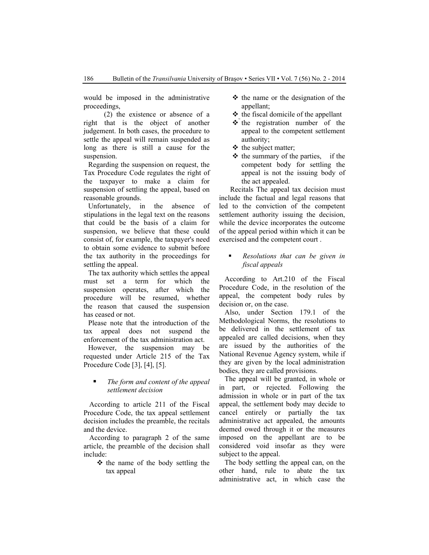would be imposed in the administrative proceedings,

 (2) the existence or absence of a right that is the object of another judgement. In both cases, the procedure to settle the appeal will remain suspended as long as there is still a cause for the suspension.

Regarding the suspension on request, the Tax Procedure Code regulates the right of the taxpayer to make a claim for suspension of settling the appeal, based on reasonable grounds.

Unfortunately, in the absence of stipulations in the legal text on the reasons that could be the basis of a claim for suspension, we believe that these could consist of, for example, the taxpayer's need to obtain some evidence to submit before the tax authority in the proceedings for settling the appeal.

The tax authority which settles the appeal must set a term for which the suspension operates, after which the procedure will be resumed, whether the reason that caused the suspension has ceased or not.

Please note that the introduction of the tax appeal does not suspend the enforcement of the tax administration act.

However, the suspension may be requested under Article 215 of the Tax Procedure Code [3], [4], [5].

#### *The form and content of the appeal settlement decision*

According to article 211 of the Fiscal Procedure Code, the tax appeal settlement decision includes the preamble, the recitals and the device.

According to paragraph 2 of the same article, the preamble of the decision shall include:

> $\triangleleft$  the name of the body settling the tax appeal

- $\triangle$  the name or the designation of the appellant;
- $\triangle$  the fiscal domicile of the appellant
- $\triangle$  the registration number of the appeal to the competent settlement authority;
- $\triangleleft$  the subject matter:
- $\triangleleft$  the summary of the parties, if the competent body for settling the appeal is not the issuing body of the act appealed.

 Recitals The appeal tax decision must include the factual and legal reasons that led to the conviction of the competent settlement authority issuing the decision, while the device incorporates the outcome of the appeal period within which it can be exercised and the competent court .

## *Resolutions that can be given in fiscal appeals*

According to Art.210 of the Fiscal Procedure Code, in the resolution of the appeal, the competent body rules by decision or, on the case.

Also, under Section 179.1 of the Methodological Norms, the resolutions to be delivered in the settlement of tax appealed are called decisions, when they are issued by the authorities of the National Revenue Agency system, while if they are given by the local administration bodies, they are called provisions.

The appeal will be granted, in whole or in part, or rejected. Following the admission in whole or in part of the tax appeal, the settlement body may decide to cancel entirely or partially the tax administrative act appealed, the amounts deemed owed through it or the measures imposed on the appellant are to be considered void insofar as they were subject to the appeal.

The body settling the appeal can, on the other hand, rule to abate the tax administrative act, in which case the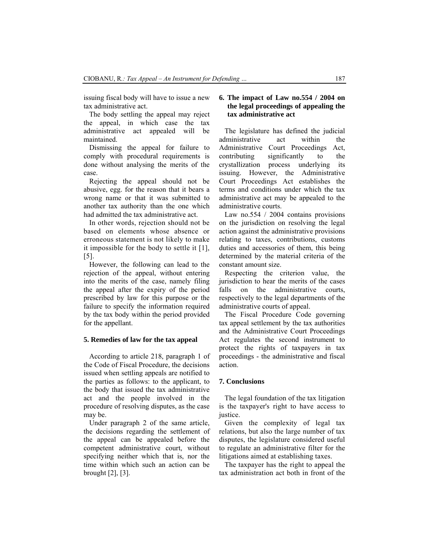issuing fiscal body will have to issue a new tax administrative act.

The body settling the appeal may reject the appeal, in which case the tax administrative act appealed will be maintained.

Dismissing the appeal for failure to comply with procedural requirements is done without analysing the merits of the case.

Rejecting the appeal should not be abusive, egg. for the reason that it bears a wrong name or that it was submitted to another tax authority than the one which had admitted the tax administrative act.

In other words, rejection should not be based on elements whose absence or erroneous statement is not likely to make it impossible for the body to settle it [1], [5].

However, the following can lead to the rejection of the appeal, without entering into the merits of the case, namely filing the appeal after the expiry of the period prescribed by law for this purpose or the failure to specify the information required by the tax body within the period provided for the appellant.

#### **5. Remedies of law for the tax appeal**

According to article 218, paragraph 1 of the Code of Fiscal Procedure, the decisions issued when settling appeals are notified to the parties as follows: to the applicant, to the body that issued the tax administrative act and the people involved in the procedure of resolving disputes, as the case may be.

Under paragraph 2 of the same article, the decisions regarding the settlement of the appeal can be appealed before the competent administrative court, without specifying neither which that is, nor the time within which such an action can be brought [2], [3].

### **6. The impact of Law no.554 / 2004 on the legal proceedings of appealing the tax administrative act**

The legislature has defined the judicial administrative act within the Administrative Court Proceedings Act, contributing significantly to the crystallization process underlying its issuing. However, the Administrative Court Proceedings Act establishes the terms and conditions under which the tax administrative act may be appealed to the administrative courts.

Law no.554 / 2004 contains provisions on the jurisdiction on resolving the legal action against the administrative provisions relating to taxes, contributions, customs duties and accessories of them, this being determined by the material criteria of the constant amount size.

Respecting the criterion value, the jurisdiction to hear the merits of the cases falls on the administrative courts, respectively to the legal departments of the administrative courts of appeal.

The Fiscal Procedure Code governing tax appeal settlement by the tax authorities and the Administrative Court Proceedings Act regulates the second instrument to protect the rights of taxpayers in tax proceedings - the administrative and fiscal action.

#### **7. Conclusions**

The legal foundation of the tax litigation is the taxpayer's right to have access to justice.

Given the complexity of legal tax relations, but also the large number of tax disputes, the legislature considered useful to regulate an administrative filter for the litigations aimed at establishing taxes.

The taxpayer has the right to appeal the tax administration act both in front of the